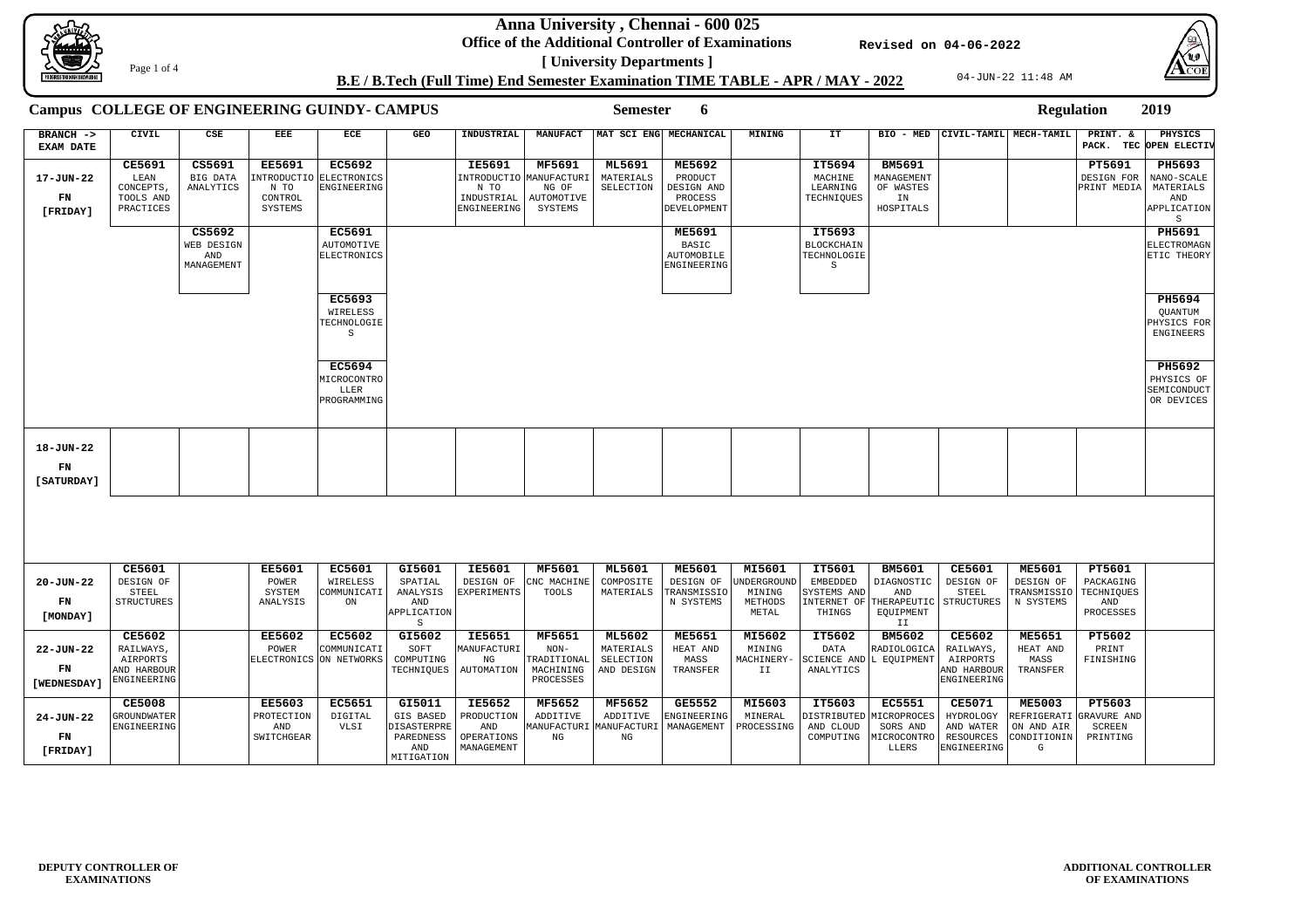**Anna University , Chennai - 600 025**

**Office of the Additional Controller of Examinations [ University Departments ]**







# **B.E / B.Tech (Full Time) End Semester Examination TIME TABLE - APR / MAY - 2022**

**Revised on 04-06-2022**

Page 1 of 4

| Campus COLLEGE OF ENGINEERING GUINDY- CAMPUS |                                                                      |                                           |                                                            |                                                     |                                                                      | <b>Semester</b><br>6                                              |                                                                       |                                                       |                                                                  |                                                            |                                                        |                                                                            |                                                                      | <b>Regulation</b>                                              |                                                              | 2019                                                         |
|----------------------------------------------|----------------------------------------------------------------------|-------------------------------------------|------------------------------------------------------------|-----------------------------------------------------|----------------------------------------------------------------------|-------------------------------------------------------------------|-----------------------------------------------------------------------|-------------------------------------------------------|------------------------------------------------------------------|------------------------------------------------------------|--------------------------------------------------------|----------------------------------------------------------------------------|----------------------------------------------------------------------|----------------------------------------------------------------|--------------------------------------------------------------|--------------------------------------------------------------|
| BRANCH -><br><b>EXAM DATE</b>                | CIVIL                                                                | CSE                                       | EEE                                                        | ECE                                                 | GEO                                                                  | INDUSTRIAL                                                        | <b>MANUFACT</b>                                                       |                                                       | MAT SCI ENG MECHANICAL                                           | <b>MINING</b>                                              | IT                                                     |                                                                            | BIO - MED CIVIL-TAMIL MECH-TAMIL                                     |                                                                | PRINT. &                                                     | PHYSICS<br>PACK. TEC OPEN ELECTIV                            |
| 17-JUN-22<br>FN<br>[FRIDAY]                  | <b>CE5691</b><br>LEAN<br>CONCEPTS,<br>TOOLS AND<br>PRACTICES         | CS5691<br>BIG DATA<br>ANALYTICS           | <b>EE5691</b><br>INTRODUCTIO<br>N TO<br>CONTROL<br>SYSTEMS | <b>EC5692</b><br>ELECTRONICS<br>ENGINEERING         |                                                                      | <b>IE5691</b><br>INTRODUCTIO<br>N TO<br>INDUSTRIAL<br>ENGINEERING | <b>MF5691</b><br><b>MANUFACTURI</b><br>NG OF<br>AUTOMOTIVE<br>SYSTEMS | ML5691<br>MATERIALS<br>SELECTION                      | <b>ME5692</b><br>PRODUCT<br>DESIGN AND<br>PROCESS<br>DEVELOPMENT |                                                            | IT5694<br>MACHINE<br>LEARNING<br>TECHNIQUES            | <b>BM5691</b><br>MANAGEMENT<br>OF WASTES<br>IN<br>HOSPITALS                |                                                                      |                                                                | PT5691<br>DESIGN FOR<br>PRINT MEDIA                          | PH5693<br>NANO-SCALE<br>MATERIALS<br>AND<br>APPLICATION<br>S |
|                                              |                                                                      | CS5692<br>WEB DESIGN<br>AND<br>MANAGEMENT |                                                            | <b>EC5691</b><br><b>AUTOMOTIVE</b><br>ELECTRONICS   |                                                                      |                                                                   |                                                                       |                                                       | <b>ME5691</b><br>BASIC<br>AUTOMOBILE<br>ENGINEERING              |                                                            | IT5693<br>BLOCKCHAIN<br>TECHNOLOGIE<br>S               |                                                                            |                                                                      |                                                                |                                                              | PH5691<br>ELECTROMAGN<br>ETIC THEORY                         |
|                                              |                                                                      |                                           |                                                            | <b>EC5693</b><br>WIRELESS<br>TECHNOLOGIE<br>S       |                                                                      |                                                                   |                                                                       |                                                       |                                                                  |                                                            |                                                        |                                                                            |                                                                      |                                                                |                                                              | PH5694<br>QUANTUM<br>PHYSICS FOR<br>ENGINEERS                |
|                                              |                                                                      |                                           |                                                            | <b>EC5694</b><br>MICROCONTRO<br>LLER<br>PROGRAMMING |                                                                      |                                                                   |                                                                       |                                                       |                                                                  |                                                            |                                                        |                                                                            |                                                                      |                                                                |                                                              | PH5692<br>PHYSICS OF<br>SEMICONDUCT<br>OR DEVICES            |
| 18-JUN-22<br>${\bf FN}$<br>[ SATURDAY ]      |                                                                      |                                           |                                                            |                                                     |                                                                      |                                                                   |                                                                       |                                                       |                                                                  |                                                            |                                                        |                                                                            |                                                                      |                                                                |                                                              |                                                              |
|                                              |                                                                      |                                           |                                                            |                                                     |                                                                      |                                                                   |                                                                       |                                                       |                                                                  |                                                            |                                                        |                                                                            |                                                                      |                                                                |                                                              |                                                              |
| 20-JUN-22<br>FN<br>[MONDAY]                  | <b>CE5601</b><br>DESIGN OF<br>STEEL<br>STRUCTURES                    |                                           | <b>EE5601</b><br>POWER<br>SYSTEM<br>ANALYSIS               | <b>EC5601</b><br>WIRELESS<br>COMMUNICATI<br>ON      | GI5601<br>SPATIAL<br>ANALYSIS<br>AND<br>APPLICATION                  | <b>IE5601</b><br>DESIGN OF<br>EXPERIMENTS                         | MF5601<br>CNC MACHINE<br>TOOLS                                        | <b>ML5601</b><br>COMPOSITE<br>MATERIALS               | <b>ME5601</b><br>DESIGN OF<br>TRANSMISSIO<br>N SYSTEMS           | MI5601<br><b>UNDERGROUND</b><br>MINING<br>METHODS<br>METAL | IT5601<br>EMBEDDED<br>SYSTEMS AND<br>THINGS            | <b>BM5601</b><br>DIAGNOSTIC<br>AND<br>INTERNET OF THERAPEUTIC<br>EQUIPMENT | <b>CE5601</b><br>DESIGN OF<br>STEEL<br>STRUCTURES                    | <b>ME5601</b><br>DESIGN OF<br>TRANSMISSIO<br>N SYSTEMS         | <b>PT5601</b><br>PACKAGING<br>TECHNIQUES<br>AND<br>PROCESSES |                                                              |
| 22-JUN-22<br>FN<br>[WEDNESDAY]               | <b>CE5602</b><br>RAILWAYS,<br>AIRPORTS<br>AND HARBOUR<br>ENGINEERING |                                           | <b>EE5602</b><br>POWER                                     | EC5602<br>COMMUNICATI<br>ELECTRONICS ON NETWORKS    | S<br>GI5602<br>SOFT<br>COMPUTING<br>TECHNIQUES                       | <b>IE5651</b><br>MANUFACTURI<br>NG<br>AUTOMATION                  | <b>MF5651</b><br>$NON-$<br>TRADITIONAL<br>MACHINING<br>PROCESSES      | <b>ML5602</b><br>MATERIALS<br>SELECTION<br>AND DESIGN | <b>ME5651</b><br>HEAT AND<br>MASS<br>TRANSFER                    | MI5602<br>MINING<br>MACHINERY-<br>II                       | IT5602<br>DATA<br>SCIENCE AND L EQUIPMENT<br>ANALYTICS | II<br><b>BM5602</b><br>RADIOLOGICA                                         | <b>CE5602</b><br>RAILWAYS,<br>AIRPORTS<br>AND HARBOUR<br>ENGINEERING | <b>ME5651</b><br>HEAT AND<br>MASS<br>TRANSFER                  | PT5602<br>PRINT<br>FINISHING                                 |                                                              |
| 24-JUN-22<br>FN<br>[FRIDAY]                  | <b>CE5008</b><br><b>GROUNDWATER</b><br>ENGINEERING                   |                                           | <b>EE5603</b><br>PROTECTION<br>AND<br>SWITCHGEAR           | <b>EC5651</b><br>DIGITAL<br>VLSI                    | GI5011<br>GIS BASED<br>DISASTERPRE<br>PAREDNESS<br>AND<br>MITIGATION | <b>IE5652</b><br>PRODUCTION<br>AND<br>OPERATIONS<br>MANAGEMENT    | <b>MF5652</b><br>ADDITIVE<br>MANUFACTURI<br>ΝG                        | MF5652<br>ADDITIVE<br>MANUFACTURI<br>ΝG               | <b>GE5552</b><br>ENGINEERING<br>MANAGEMENT                       | MI5603<br>MINERAL<br>PROCESSING                            | IT5603<br>DISTRIBUTED<br>AND CLOUD<br>COMPUTING        | <b>EC5551</b><br>MICROPROCES<br>SORS AND<br>MICROCONTRO<br>LLERS           | <b>CE5071</b><br>HYDROLOGY<br>AND WATER<br>RESOURCES<br>ENGINEERING  | <b>ME5003</b><br>REFRIGERATI<br>ON AND AIR<br>CONDITIONIN<br>G | PT5603<br>GRAVURE AND<br><b>SCREEN</b><br>PRINTING           |                                                              |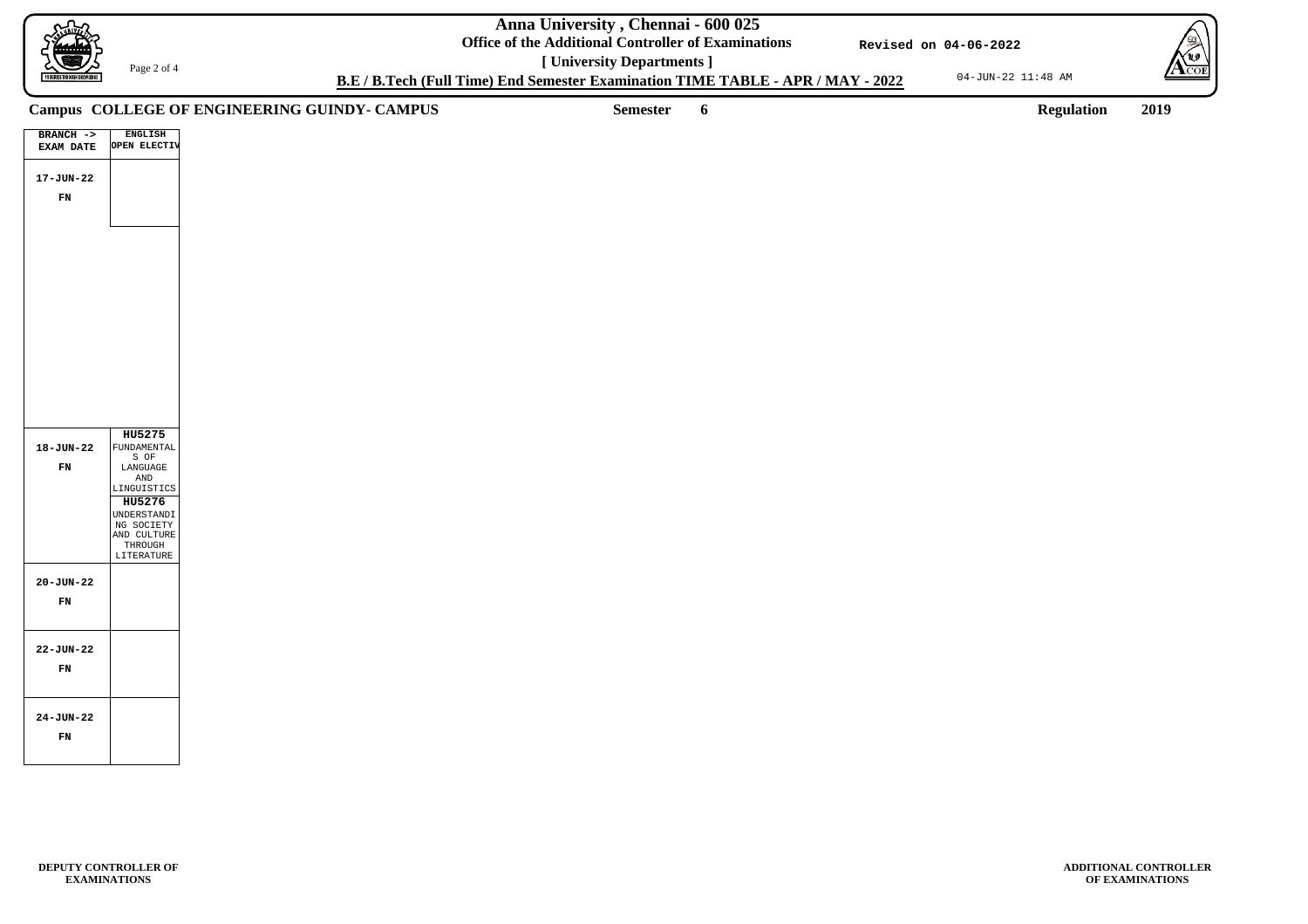**Anna University , Chennai - 600 025**

**Office of the Additional Controller of Examinations [ University Departments ]**

04-JUN-22 11:48 AM



**ADDITIONAL CONTROLLER OF EXAMINATIONS**

**B.E / B.Tech (Full Time) End Semester Examination TIME TABLE - APR / MAY - 2022**

**Revised on 04-06-2022**

Page 2 of 4

**Semester 6 Regulation 2019**

# **Campus COLLEGE OF ENGINEERING GUINDY- CAMPUS**

| $BRANCH$ ->      | <b>ENGLISH</b> |
|------------------|----------------|
| <b>EXAM DATE</b> | OPEN ELECTIV   |
|                  |                |
|                  |                |
| 17-JUN-22        |                |
| FN               |                |
|                  |                |
|                  |                |
|                  |                |
|                  |                |
|                  |                |
|                  |                |
|                  |                |
|                  |                |
|                  |                |
|                  |                |
|                  |                |
|                  |                |
|                  |                |
|                  |                |
|                  |                |
|                  |                |
|                  |                |
|                  |                |
|                  |                |
|                  |                |
|                  | HU5275         |
| 18-JUN-22        | FUNDAMENTAL    |
|                  | S OF           |
| FN               | LANGUAGE       |
|                  | AND            |
|                  | LINGUISTICS    |
|                  | HU5276         |
|                  | UNDERSTANDI    |
|                  | NG SOCIETY     |
|                  | AND CULTURE    |
|                  | THROUGH        |
|                  | LITERATURE     |
|                  |                |
| 20-JUN-22        |                |
|                  |                |
| FN               |                |
|                  |                |
|                  |                |
|                  |                |
| 22-JUN-22        |                |
| FN               |                |
|                  |                |
|                  |                |
|                  |                |
|                  |                |
| $24 - JUN - 22$  |                |
|                  |                |
|                  |                |
| FN               |                |
|                  |                |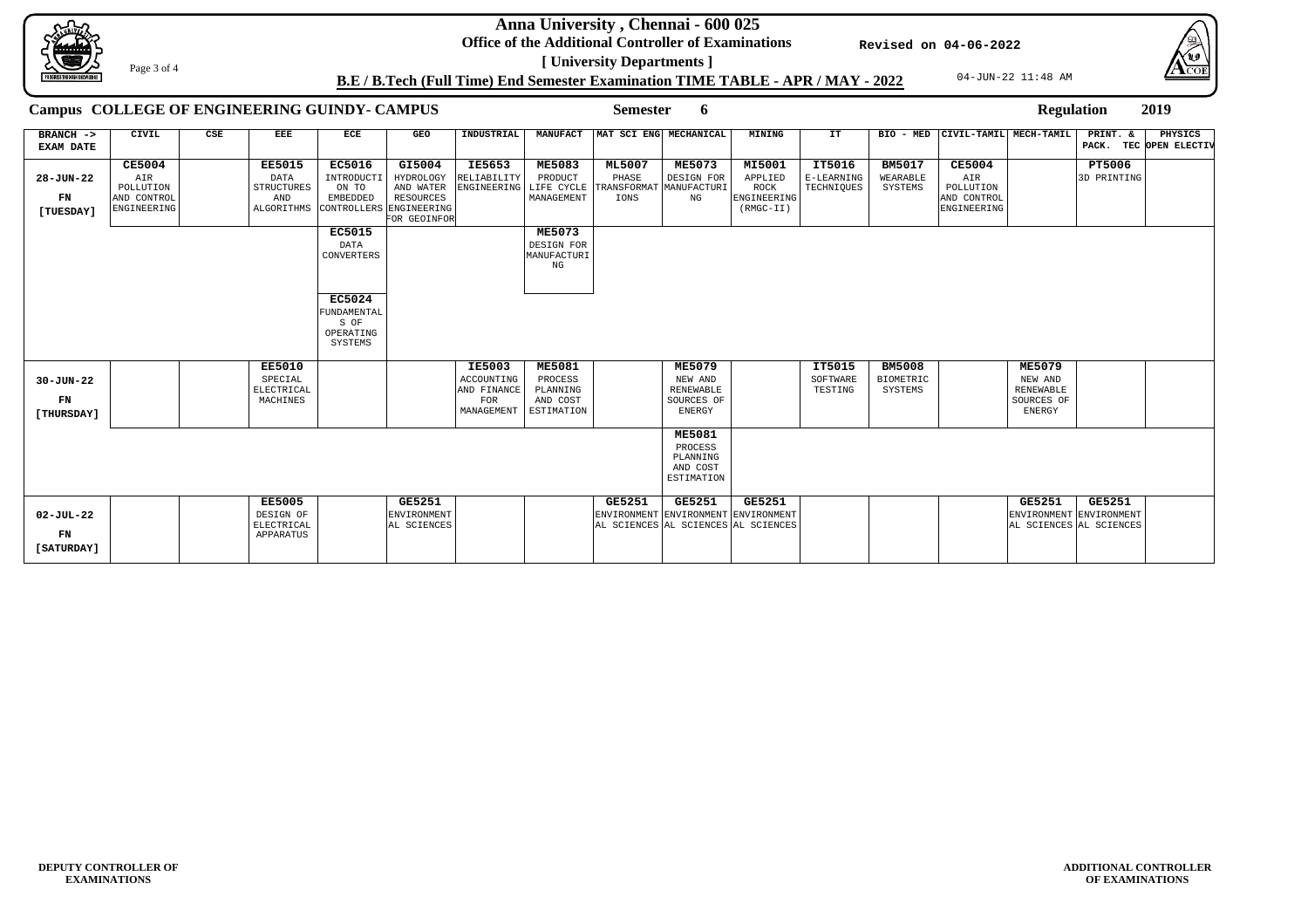**Anna University , Chennai - 600 025**

**Office of the Additional Controller of Examinations**





**[ University Departments ] B.E / B.Tech (Full Time) End Semester Examination TIME TABLE - APR / MAY - 2022**

**Revised on 04-06-2022**



Page 3 of 4

### **Semester 6 Regulation 2019**

# **Campus COLLEGE OF ENGINEERING GUINDY- CAMPUS**

| $BRANCH$ ->      | CIVIL         | CSE | EEE                     | ECE                     | <b>GEO</b>                        | INDUSTRIAL    |               | MANUFACT   MAT SCI ENG   MECHANICAL |                                     | MINING             | IT.        | BIO - MED        | CIVIL-TAMIL MECH-TAMIL |                                                    | PRINT. &      | PHYSICS                |
|------------------|---------------|-----|-------------------------|-------------------------|-----------------------------------|---------------|---------------|-------------------------------------|-------------------------------------|--------------------|------------|------------------|------------------------|----------------------------------------------------|---------------|------------------------|
| <b>EXAM DATE</b> |               |     |                         |                         |                                   |               |               |                                     |                                     |                    |            |                  |                        |                                                    |               | PACK. TEC OPEN ELECTIV |
|                  | <b>CE5004</b> |     | <b>EE5015</b>           | <b>EC5016</b>           | GI5004                            | <b>IE5653</b> | <b>ME5083</b> | <b>ML5007</b>                       | <b>ME5073</b>                       | MI5001             | IT5016     | <b>BM5017</b>    | <b>CE5004</b>          |                                                    | <b>PT5006</b> |                        |
|                  |               |     |                         |                         |                                   |               |               |                                     |                                     |                    |            |                  |                        |                                                    |               |                        |
| 28-JUN-22        | AIR           |     | <b>DATA</b>             | INTRODUCT.              | HYDROLOGY                         | RELIABILITY   | PRODUCT       | PHASE                               | DESIGN FOR                          | APPLIED            | E-LEARNING | WEARABLE         | AIR                    |                                                    | 3D PRINTING   |                        |
|                  | POLLUTION     |     | <b>STRUCTURES</b>       | ON TO                   | AND WATER                         | ENGINEERING   | LIFE CYCLE    |                                     | TRANSFORMAT MANUFACTURI             | ROCK               | TECHNIQUES | SYSTEMS          | POLLUTION              |                                                    |               |                        |
| FN               | AND CONTROL   |     | AND                     | <b>EMBEDDED</b>         | RESOURCES                         |               | MANAGEMENT    | IONS                                | NG                                  | <b>ENGINEERING</b> |            |                  | AND CONTROL            |                                                    |               |                        |
| [TUESDAY]        | ENGINEERING   |     | ALGORITHMS              | CONTROLLERS ENGINEERING | FOR GEOINFOR                      |               |               |                                     |                                     | $(RMGC-TI)$        |            |                  | ENGINEERING            |                                                    |               |                        |
|                  |               |     |                         |                         |                                   |               |               |                                     |                                     |                    |            |                  |                        |                                                    |               |                        |
|                  |               |     |                         | <b>EC5015</b>           |                                   |               | <b>ME5073</b> |                                     |                                     |                    |            |                  |                        |                                                    |               |                        |
|                  |               |     |                         | DATA                    |                                   |               | DESIGN FOR    |                                     |                                     |                    |            |                  |                        |                                                    |               |                        |
|                  |               |     |                         | CONVERTERS              |                                   |               | MANUFACTURI   |                                     |                                     |                    |            |                  |                        |                                                    |               |                        |
|                  |               |     |                         |                         |                                   |               | NG            |                                     |                                     |                    |            |                  |                        |                                                    |               |                        |
|                  |               |     |                         |                         |                                   |               |               |                                     |                                     |                    |            |                  |                        |                                                    |               |                        |
|                  |               |     |                         |                         |                                   |               |               |                                     |                                     |                    |            |                  |                        |                                                    |               |                        |
|                  |               |     |                         | <b>EC5024</b>           |                                   |               |               |                                     |                                     |                    |            |                  |                        |                                                    |               |                        |
|                  |               |     |                         | FUNDAMENTAL             |                                   |               |               |                                     |                                     |                    |            |                  |                        |                                                    |               |                        |
|                  |               |     |                         | S OF                    |                                   |               |               |                                     |                                     |                    |            |                  |                        |                                                    |               |                        |
|                  |               |     |                         | OPERATING               |                                   |               |               |                                     |                                     |                    |            |                  |                        |                                                    |               |                        |
|                  |               |     |                         | SYSTEMS                 |                                   |               |               |                                     |                                     |                    |            |                  |                        |                                                    |               |                        |
|                  |               |     |                         |                         |                                   |               |               |                                     |                                     |                    |            |                  |                        |                                                    |               |                        |
|                  |               |     | <b>EE5010</b>           |                         |                                   | <b>IE5003</b> | <b>ME5081</b> |                                     | <b>ME5079</b>                       |                    | IT5015     | <b>BM5008</b>    |                        | <b>ME5079</b>                                      |               |                        |
| $30 - JUN - 22$  |               |     | SPECIAL                 |                         |                                   | ACCOUNTING    | PROCESS       |                                     | NEW AND                             |                    | SOFTWARE   | <b>BIOMETRIC</b> |                        | NEW AND                                            |               |                        |
|                  |               |     | ELECTRICAL              |                         |                                   | AND FINANCE   | PLANNING      |                                     | <b>RENEWABLE</b>                    |                    | TESTING    | SYSTEMS          |                        | RENEWABLE                                          |               |                        |
| FN               |               |     | MACHINES                |                         |                                   | FOR           | AND COST      |                                     | SOURCES OF                          |                    |            |                  |                        | SOURCES OF                                         |               |                        |
|                  |               |     |                         |                         |                                   | MANAGEMENT    | ESTIMATION    |                                     | <b>ENERGY</b>                       |                    |            |                  |                        | <b>ENERGY</b>                                      |               |                        |
| [THURSDAY]       |               |     |                         |                         |                                   |               |               |                                     |                                     |                    |            |                  |                        |                                                    |               |                        |
|                  |               |     |                         |                         |                                   |               |               |                                     | <b>ME5081</b>                       |                    |            |                  |                        |                                                    |               |                        |
|                  |               |     |                         |                         |                                   |               |               |                                     | PROCESS                             |                    |            |                  |                        |                                                    |               |                        |
|                  |               |     |                         |                         |                                   |               |               |                                     | PLANNING                            |                    |            |                  |                        |                                                    |               |                        |
|                  |               |     |                         |                         |                                   |               |               |                                     | AND COST                            |                    |            |                  |                        |                                                    |               |                        |
|                  |               |     |                         |                         |                                   |               |               |                                     | ESTIMATION                          |                    |            |                  |                        |                                                    |               |                        |
|                  |               |     |                         |                         |                                   |               |               |                                     |                                     |                    |            |                  |                        |                                                    |               |                        |
|                  |               |     | <b>EE5005</b>           |                         | <b>GE5251</b>                     |               |               | GE5251                              | <b>GE5251</b>                       | <b>GE5251</b>      |            |                  |                        | <b>GE5251</b>                                      | <b>GE5251</b> |                        |
|                  |               |     |                         |                         |                                   |               |               |                                     |                                     |                    |            |                  |                        |                                                    |               |                        |
| 02-JUL-22        |               |     | DESIGN OF<br>ELECTRICAL |                         | <b>ENVIRONMENT</b><br>AL SCIENCES |               |               |                                     | ENVIRONMENT ENVIRONMENT ENVIRONMENT |                    |            |                  |                        | ENVIRONMENT ENVIRONMENT<br>AL SCIENCES AL SCIENCES |               |                        |
| FN               |               |     |                         |                         |                                   |               |               |                                     | AL SCIENCES AL SCIENCES AL SCIENCES |                    |            |                  |                        |                                                    |               |                        |
|                  |               |     | APPARATUS               |                         |                                   |               |               |                                     |                                     |                    |            |                  |                        |                                                    |               |                        |
| [SATURDAY]       |               |     |                         |                         |                                   |               |               |                                     |                                     |                    |            |                  |                        |                                                    |               |                        |
|                  |               |     |                         |                         |                                   |               |               |                                     |                                     |                    |            |                  |                        |                                                    |               |                        |